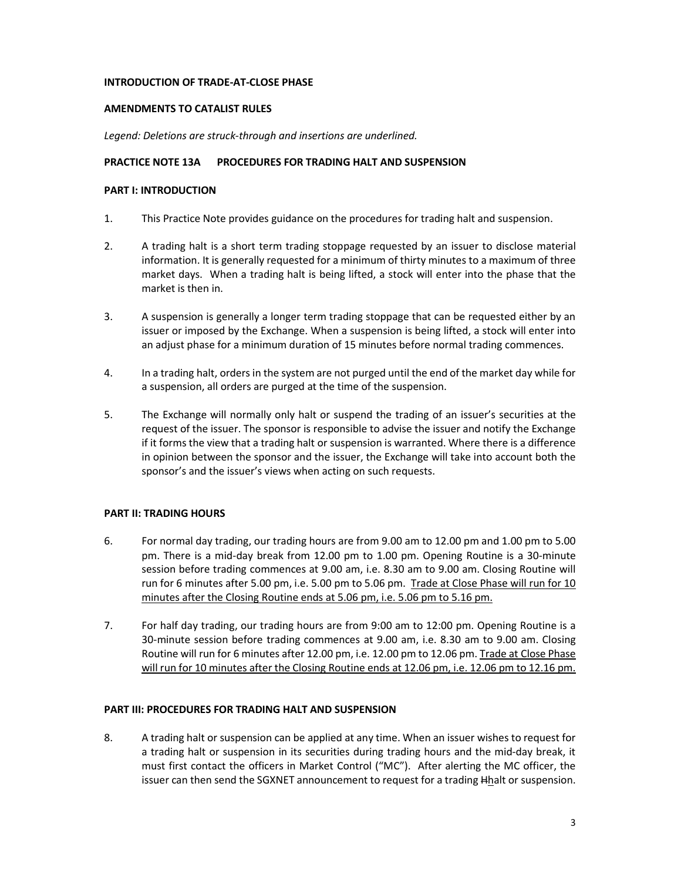#### **INTRODUCTION OF TRADE-AT-CLOSE PHASE**

### **AMENDMENTS TO CATALIST RULES**

*Legend: Deletions are struck-through and insertions are underlined.*

### **PRACTICE NOTE 13A PROCEDURES FOR TRADING HALT AND SUSPENSION**

# **PART I: INTRODUCTION**

- 1. This Practice Note provides guidance on the procedures for trading halt and suspension.
- 2. A trading halt is a short term trading stoppage requested by an issuer to disclose material information. It is generally requested for a minimum of thirty minutes to a maximum of three market days. When a trading halt is being lifted, a stock will enter into the phase that the market is then in.
- 3. A suspension is generally a longer term trading stoppage that can be requested either by an issuer or imposed by the Exchange. When a suspension is being lifted, a stock will enter into an adjust phase for a minimum duration of 15 minutes before normal trading commences.
- 4. In a trading halt, orders in the system are not purged until the end of the market day while for a suspension, all orders are purged at the time of the suspension.
- 5. The Exchange will normally only halt or suspend the trading of an issuer's securities at the request of the issuer. The sponsor is responsible to advise the issuer and notify the Exchange if it forms the view that a trading halt or suspension is warranted. Where there is a difference in opinion between the sponsor and the issuer, the Exchange will take into account both the sponsor's and the issuer's views when acting on such requests.

## **PART II: TRADING HOURS**

- 6. For normal day trading, our trading hours are from 9.00 am to 12.00 pm and 1.00 pm to 5.00 pm. There is a mid-day break from 12.00 pm to 1.00 pm. Opening Routine is a 30-minute session before trading commences at 9.00 am, i.e. 8.30 am to 9.00 am. Closing Routine will run for 6 minutes after 5.00 pm, i.e. 5.00 pm to 5.06 pm. Trade at Close Phase will run for 10 minutes after the Closing Routine ends at 5.06 pm, i.e. 5.06 pm to 5.16 pm.
- 7. For half day trading, our trading hours are from 9:00 am to 12:00 pm. Opening Routine is a 30-minute session before trading commences at 9.00 am, i.e. 8.30 am to 9.00 am. Closing Routine will run for 6 minutes after 12.00 pm, i.e. 12.00 pm to 12.06 pm. Trade at Close Phase will run for 10 minutes after the Closing Routine ends at 12.06 pm, i.e. 12.06 pm to 12.16 pm.

# **PART III: PROCEDURES FOR TRADING HALT AND SUSPENSION**

8. A trading halt or suspension can be applied at any time. When an issuer wishes to request for a trading halt or suspension in its securities during trading hours and the mid-day break, it must first contact the officers in Market Control ("MC"). After alerting the MC officer, the issuer can then send the SGXNET announcement to request for a trading Hhalt or suspension.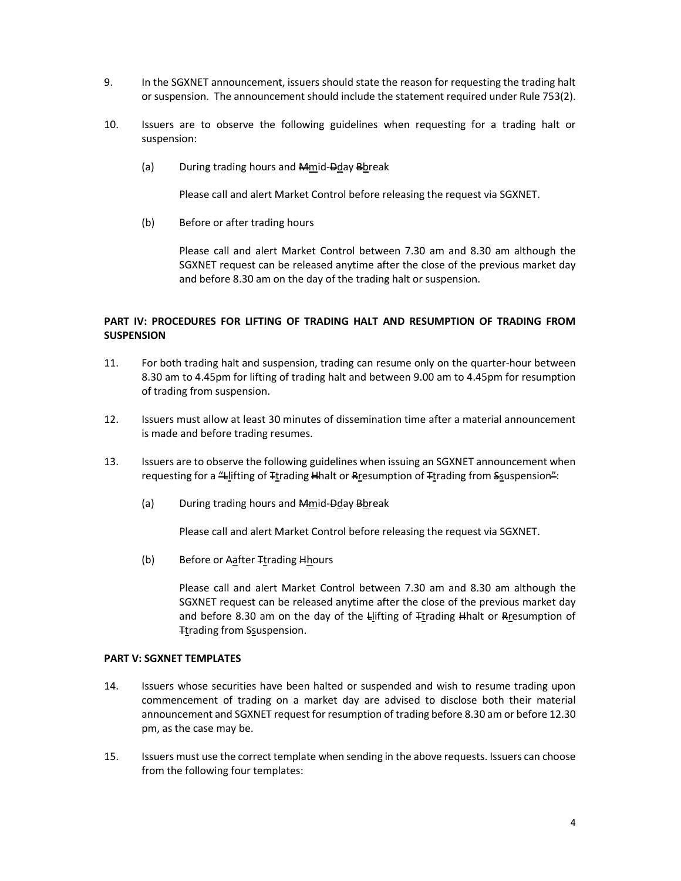- 9. In the SGXNET announcement, issuers should state the reason for requesting the trading halt or suspension. The announcement should include the statement required under Rule 753(2).
- 10. Issuers are to observe the following guidelines when requesting for a trading halt or suspension:
	- (a) During trading hours and Mmid-Dday Bbreak

Please call and alert Market Control before releasing the request via SGXNET.

(b) Before or after trading hours

Please call and alert Market Control between 7.30 am and 8.30 am although the SGXNET request can be released anytime after the close of the previous market day and before 8.30 am on the day of the trading halt or suspension.

# **PART IV: PROCEDURES FOR LIFTING OF TRADING HALT AND RESUMPTION OF TRADING FROM SUSPENSION**

- 11. For both trading halt and suspension, trading can resume only on the quarter-hour between 8.30 am to 4.45pm for lifting of trading halt and between 9.00 am to 4.45pm for resumption of trading from suspension.
- 12. Issuers must allow at least 30 minutes of dissemination time after a material announcement is made and before trading resumes.
- 13. Issuers are to observe the following guidelines when issuing an SGXNET announcement when requesting for a "Llifting of Ttrading Hhalt or Rresumption of Ttrading from Ssuspension":
	- (a) During trading hours and Mmid-Dday Bbreak

Please call and alert Market Control before releasing the request via SGXNET.

(b) Before or Aafter Ttrading Hhours

Please call and alert Market Control between 7.30 am and 8.30 am although the SGXNET request can be released anytime after the close of the previous market day and before 8.30 am on the day of the Llifting of Ttrading Hhalt or Rresumption of Ttrading from Ssuspension.

## **PART V: SGXNET TEMPLATES**

- 14. Issuers whose securities have been halted or suspended and wish to resume trading upon commencement of trading on a market day are advised to disclose both their material announcement and SGXNET request for resumption of trading before 8.30 am or before 12.30 pm, as the case may be.
- 15. Issuers must use the correct template when sending in the above requests. Issuers can choose from the following four templates: